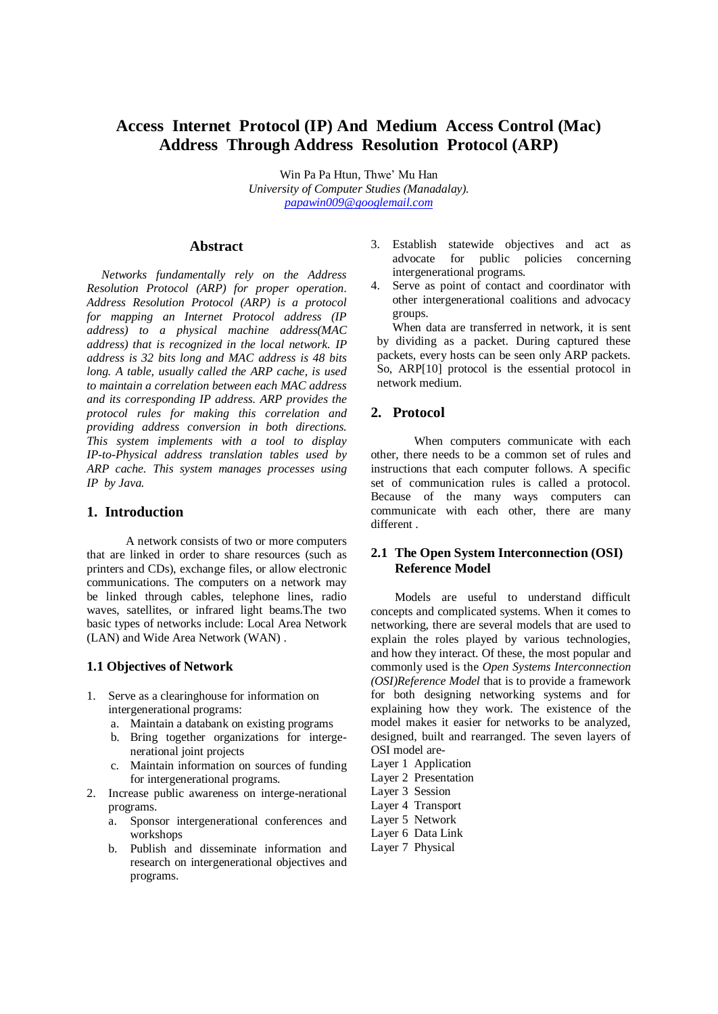# **Access Internet Protocol (IP) And Medium Access Control (Mac) Address Through Address Resolution Protocol (ARP)**

Win Pa Pa Htun, Thwe' Mu Han *University of Computer Studies (Manadalay). [papawin009@googlemail.com](mailto:papawin009@googlemail.com)*

# **Abstract**

*Networks fundamentally rely on the Address Resolution Protocol (ARP) for proper operation. Address Resolution Protocol (ARP) is a protocol for mapping an Internet Protocol address (IP address) to a physical machine address(MAC address) that is recognized in the local network. IP address is 32 bits long and MAC address is 48 bits long. A table, usually called the ARP cache, is used to maintain a correlation between each MAC address and its corresponding IP address. ARP provides the protocol rules for making this correlation and providing address conversion in both directions. This system implements with a tool to display IP-to-Physical address translation tables used by ARP cache. This system manages processes using IP by Java.* 

# **1. Introduction**

A network consists of two or more computers that are linked in order to share resources (such as printers and CDs), exchange files, or allow electronic communications. The computers on a network may be linked through cables, telephone lines, radio waves, satellites, or infrared light beams.The two basic types of networks include: Local Area Network (LAN) and Wide Area Network (WAN) .

#### **1.1 Objectives of Network**

- 1. Serve as a clearinghouse for information on intergenerational programs:
	- a. Maintain a databank on existing programs
	- b. Bring together organizations for intergenerational joint projects
	- c. Maintain information on sources of funding for intergenerational programs.
- 2. Increase public awareness on interge-nerational programs.
	- a. Sponsor intergenerational conferences and workshops
	- b. Publish and disseminate information and research on intergenerational objectives and programs.
- 3. Establish statewide objectives and act as advocate for public policies concerning intergenerational programs.
- 4. Serve as point of contact and coordinator with other intergenerational coalitions and advocacy groups.

When data are transferred in network, it is sent by dividing as a packet. During captured these packets, every hosts can be seen only ARP packets. So, ARP[10] protocol is the essential protocol in network medium.

# **2. Protocol**

When computers communicate with each other, there needs to be a common set of rules and instructions that each computer follows. A specific set of communication rules is called a protocol. Because of the many ways computers can communicate with each other, there are many different .

# **2.1 The Open System Interconnection (OSI) Reference Model**

Models are useful to understand difficult concepts and complicated systems. When it comes to networking, there are several models that are used to explain the roles played by various technologies, and how they interact. Of these, the most popular and commonly used is the *Open Systems Interconnection (OSI)Reference Model* that is to provide a framework for both designing networking systems and for explaining how they work. The existence of the model makes it easier for networks to be analyzed, designed, built and rearranged. The seven layers of OSI model are-

Layer 1 Application Layer 2 Presentation Layer 3 Session Layer 4 Transport

- Layer 5 Network
- Layer 6 Data Link
- Layer 7 Physical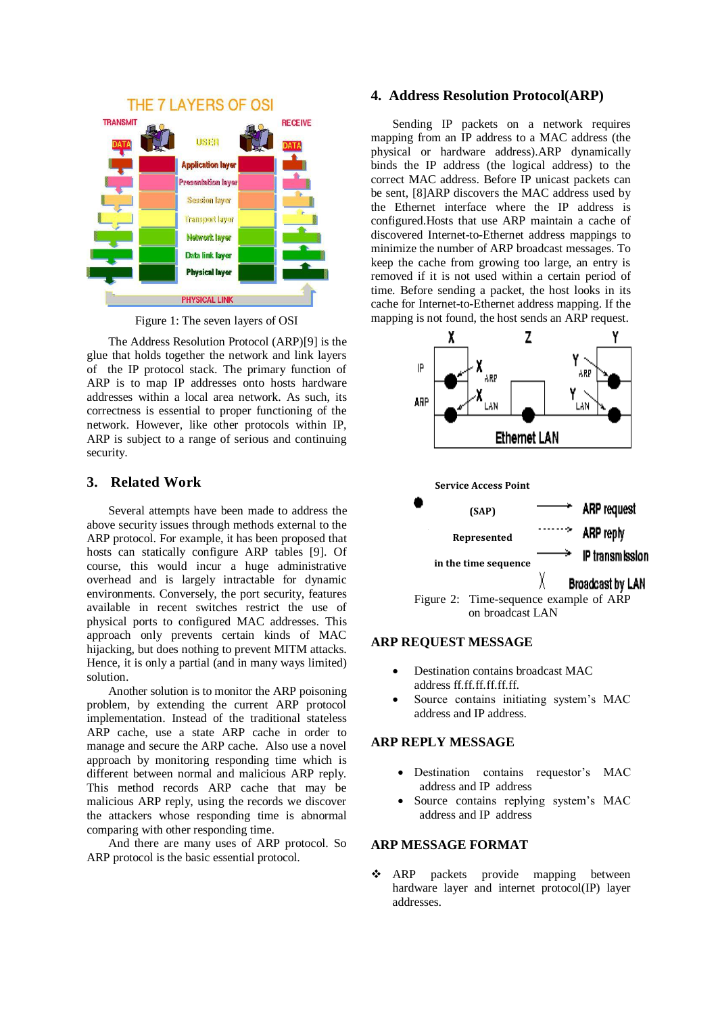

Figure 1: The seven layers of OSI

The Address Resolution Protocol (ARP)[9] is the glue that holds together the network and link layers of the IP protocol stack. The primary function of ARP is to map IP addresses onto hosts hardware addresses within a local area network. As such, its correctness is essential to proper functioning of the network. However, like other protocols within IP, ARP is subject to a range of serious and continuing security.

# **3. Related Work**

Several attempts have been made to address the above security issues through methods external to the ARP protocol. For example, it has been proposed that hosts can statically configure ARP tables [9]. Of course, this would incur a huge administrative overhead and is largely intractable for dynamic environments. Conversely, the port security, features available in recent switches restrict the use of physical ports to configured MAC addresses. This approach only prevents certain kinds of MAC hijacking, but does nothing to prevent MITM attacks. Hence, it is only a partial (and in many ways limited) solution.

Another solution is to monitor the ARP poisoning problem, by extending the current ARP protocol implementation. Instead of the traditional stateless ARP cache, use a state ARP cache in order to manage and secure the ARP cache. Also use a novel approach by monitoring responding time which is different between normal and malicious ARP reply. This method records ARP cache that may be malicious ARP reply, using the records we discover the attackers whose responding time is abnormal comparing with other responding time.

And there are many uses of ARP protocol. So ARP protocol is the basic essential protocol.

# **4. Address Resolution Protocol(ARP)**

Sending IP packets on a network requires mapping from an IP address to a MAC address (the physical or hardware address).ARP dynamically binds the IP address (the logical address) to the correct MAC address. Before IP unicast packets can be sent, [8]ARP discovers the MAC address used by the Ethernet interface where the IP address is configured.Hosts that use ARP maintain a cache of discovered Internet-to-Ethernet address mappings to minimize the number of ARP broadcast messages. To keep the cache from growing too large, an entry is removed if it is not used within a certain period of time. Before sending a packet, the host looks in its cache for Internet-to-Ethernet address mapping. If the mapping is not found, the host sends an ARP request.



## **ARP REQUEST MESSAGE**

- Destination contains broadcast MAC address ff.ff.ff.ff.ff.ff.
- Source contains initiating system's MAC address and IP address.

#### **ARP REPLY MESSAGE**

- Destination contains requestor's MAC address and IP address
- Source contains replying system's MAC address and IP address

#### **ARP MESSAGE FORMAT**

\* ARP packets provide mapping between hardware layer and internet protocol(IP) layer addresses.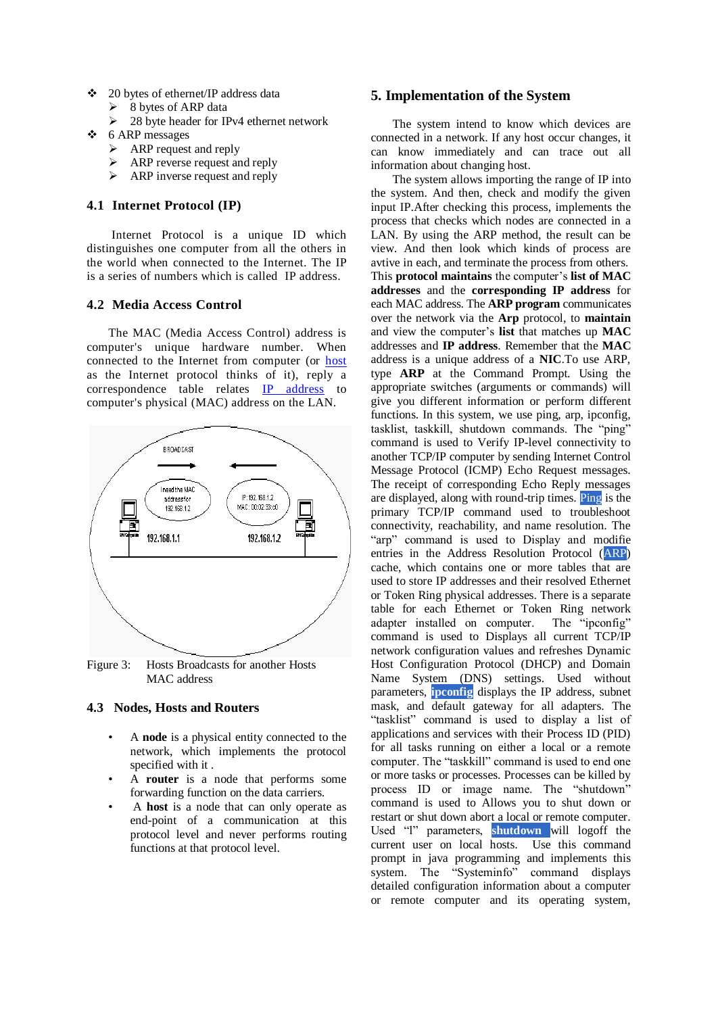- $\div$  20 bytes of ethernet/IP address data
	- 8 bytes of ARP data
	- $\geq$  28 byte header for IPv4 ethernet network
- $\div$  6 ARP messages
	- $\triangleright$  ARP request and reply
	- $\triangleright$  ARP reverse request and reply
	- $\triangleright$  ARP inverse request and reply

### **4.1 Internet Protocol (IP)**

Internet Protocol is a unique ID which distinguishes one computer from all the others in the world when connected to the Internet. The IP is a series of numbers which is called IP address.

# **4.2 Media Access Control**

The MAC (Media Access Control) address is computer's unique hardware number. When connected to the Internet from computer (or [host](http://searchcio-midmarket.techtarget.com/sDefinition/0,,sid183_gci212254,00.html) as the Internet protocol thinks of it), reply a correspondence table relates [IP address](http://searchwindevelopment.techtarget.com/sDefinition/0,,sid8_gci212381,00.html) to computer's physical (MAC) address on the LAN.



Figure 3: Hosts Broadcasts for another Hosts MAC address

## **4.3 Nodes, Hosts and Routers**

- A **node** is a physical entity connected to the network, which implements the protocol specified with it .
- A **router** is a node that performs some forwarding function on the data carriers.
- A **host** is a node that can only operate as end-point of a communication at this protocol level and never performs routing functions at that protocol level.

## **5. Implementation of the System**

The system intend to know which devices are connected in a network. If any host occur changes, it can know immediately and can trace out all information about changing host.

The system allows importing the range of IP into the system. And then, check and modify the given input IP.After checking this process, implements the process that checks which nodes are connected in a LAN. By using the ARP method, the result can be view. And then look which kinds of process are avtive in each, and terminate the process from others. This **protocol maintains** the computer's **list of MAC addresses** and the **corresponding IP address** for each MAC address. The **ARP program** communicates over the network via the **Arp** protocol, to **maintain**  and view the computer's **list** that matches up **MAC** addresses and **IP address**. Remember that the **MAC**  address is a unique address of a **NIC**.To use ARP, type **ARP** at the Command Prompt. Using the appropriate switches (arguments or commands) will give you different information or perform different functions. In this system, we use ping, arp, ipconfig, tasklist, taskkill, shutdown commands. The "ping" command is used to Verify IP-level connectivity to another TCP/IP computer by sending Internet Control Message Protocol (ICMP) Echo Request messages. The receipt of corresponding Echo Reply messages are displayed, along with round-trip times. Ping is the primary TCP/IP command used to troubleshoot connectivity, reachability, and name resolution. The "arp" command is used to Display and modifie entries in the Address Resolution Protocol (ARP) cache, which contains one or more tables that are used to store IP addresses and their resolved Ethernet or Token Ring physical addresses. There is a separate table for each Ethernet or Token Ring network adapter installed on computer. The "ipconfig" command is used to Displays all current TCP/IP network configuration values and refreshes Dynamic Host Configuration Protocol (DHCP) and Domain Name System (DNS) settings. Used without parameters, **ipconfig** displays the IP address, subnet mask, and default gateway for all adapters. The "tasklist" command is used to display a list of applications and services with their Process ID (PID) for all tasks running on either a local or a remote computer. The "taskkill" command is used to end one or more tasks or processes. Processes can be killed by process ID or image name. The "shutdown" command is used to Allows you to shut down or restart or shut down abort a local or remote computer. Used "l" parameters, **shutdown** will logoff the current user on local hosts. Use this command prompt in java programming and implements this system. The "Systeminfo" command displays detailed configuration information about a computer or remote computer and its operating system,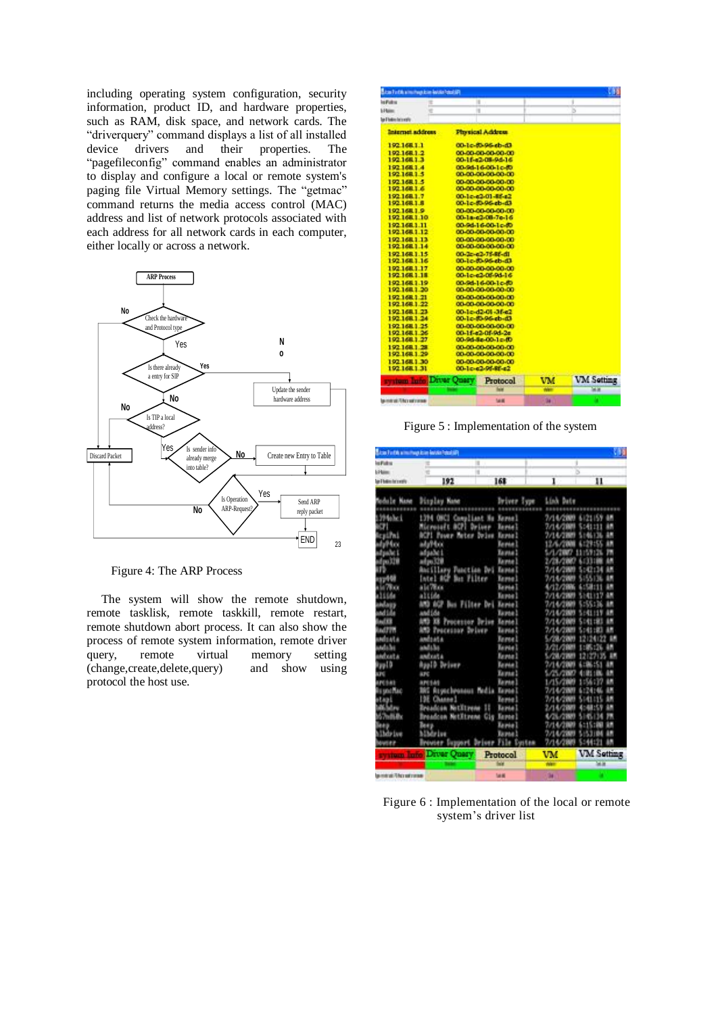including operating system configuration, security information, product ID, and hardware properties, such as RAM, disk space, and network cards. The "driverquery" command displays a list of all installed device drivers and their properties. The "pagefileconfig" command enables an administrator to display and configure a local or remote system's paging file Virtual Memory settings. The "getmac" command returns the media access control (MAC) address and list of network protocols associated with each address for all network cards in each computer, either locally or across a network.



Figure 4: The ARP Process

The system will show the remote shutdown, remote tasklisk, remote taskkill, remote restart, remote shutdown abort process. It can also show the process of remote system information, remote driver<br>query, remote virtual memory setting query, remote virtual memory setting<br>
(change.create.delete.query) and show using (change, create, delete, query) protocol the host use.

|                              |   | <b>Bitis Fulth a mathep law levels food aft</b> |                                        |         |                   |
|------------------------------|---|-------------------------------------------------|----------------------------------------|---------|-------------------|
| <b>Infulne</b>               | ÷ | п                                               |                                        |         | ī                 |
| Littano                      | e | ۲                                               |                                        |         |                   |
| land believ between the      |   |                                                 |                                        |         |                   |
| Internet address             |   |                                                 | <b>Physical Address</b>                |         |                   |
| 192,168,1.1                  |   |                                                 | 00-1c-80-96-eb-d3                      |         |                   |
| 192168.1.2                   |   |                                                 | 00-00-00-00-00-00                      |         |                   |
| 192 168 1.3                  |   |                                                 | 00-1f-s2-08-9d-16                      |         |                   |
| 192168.1.4                   |   |                                                 | 00-94-16-00-1c-80                      |         |                   |
| 192.168.1.5                  |   |                                                 | 00-00-00-00-00-00                      |         |                   |
| 192,168,1.5                  |   |                                                 | 00-00-00-00-00-00                      |         |                   |
| 192,168,1.6                  |   |                                                 | 00-00-00-00-00-00                      |         |                   |
| 192 168 1.7                  |   |                                                 | 00-1c-42-01-85-42                      |         |                   |
| 192,168,1.8                  |   |                                                 | 00-1c-80-96-eb-d3                      |         |                   |
| 192,168,1.9                  |   |                                                 | 00-00-00-00-00-00                      |         |                   |
| 192 168 1 10                 |   |                                                 | 00-1a-c2-08-7c-16                      |         |                   |
| 192168.1.11                  |   |                                                 | 00-94-16-00-1c-80                      |         |                   |
| 192.168.1.12                 |   |                                                 | 00-00-00-00-00-00                      |         |                   |
| 192.168.1.13<br>192,168,1.14 |   |                                                 | 00-00-00-00-00-00<br>00-00-00-00-00-00 |         |                   |
| 192 148 1:15                 |   |                                                 | 00-3r-e3-78-88-d1                      |         |                   |
| 192.168.1.16                 |   |                                                 | 00-lc-80-96-ch-d3                      |         |                   |
| 192,168,1.17                 |   |                                                 | 00-00-00-00-00-00                      |         |                   |
| 192 168 1 18                 |   |                                                 | 00-1c-c2-05-0d-16                      |         |                   |
| 192.168.1.19                 |   |                                                 | 00-94-16-00-1c-80                      |         |                   |
| 192,168,1,20                 |   |                                                 | 00-00-00-00-00-00                      |         |                   |
| 192168.1-21                  |   |                                                 | 00-00-00-00-00-00                      |         |                   |
| 192 168 1 22                 |   |                                                 | 00-00-00-00-00-00                      |         |                   |
| 192 168 1 23                 |   |                                                 | 00-1c-d2-01-3f-c2                      |         |                   |
| 192.168.1.24                 |   |                                                 | 00-1c-80-96-eb-d3                      |         |                   |
| 192, 168, 1, 25              |   |                                                 | 00-00-00-00-00-00                      |         |                   |
| 192 168 1 26                 |   |                                                 | 00-1f-c2-0f-9d-2c                      |         |                   |
| 192,168,1.27                 |   |                                                 | 00-94-5a-00-1c-00                      |         |                   |
| 192, 168, 1.28               |   |                                                 | 00-00-00-00-00-00                      |         |                   |
| 192.168.1.29                 |   |                                                 | 00-00-00-00-00-00                      |         |                   |
|                              |   |                                                 | 00-00-00-00-00-00<br>00-1c-e2-05-8f-e2 |         |                   |
| 192.168.1.30                 |   |                                                 |                                        |         |                   |
| 192,168,1.31                 |   |                                                 |                                        |         |                   |
| stream, Louise.              |   | Driver Query                                    | Protocol                               | VM      | <b>VM Setting</b> |
| gametrat UACcontrolles       |   |                                                 | <b>SHIEL</b>                           | NH<br>м | 国連<br>п           |

Figure 5 : Implementation of the system

| Siza Finth a mimor kiel landa foodali |                                             |                                             |                      |                   |  |
|---------------------------------------|---------------------------------------------|---------------------------------------------|----------------------|-------------------|--|
| <b>Incident</b>                       |                                             | ۲                                           | ъ                    |                   |  |
| <b>Litter</b>                         |                                             | ۰                                           |                      |                   |  |
| las I balos becently                  | 192                                         | 168                                         | 1                    | n                 |  |
| Nane<br>m.                            | Display Name                                | Driver Type                                 | Link Date            |                   |  |
| <b>No list!</b>                       |                                             |                                             |                      |                   |  |
|                                       | Compliant<br>1.774<br>Microsoft BCPI Driver | <b>Seree 1</b><br>$^{16}$<br><b>Terrie!</b> | 7/14/2009            | ш<br>5.141<br>88  |  |
|                                       | <b>DCPT</b><br>Power Meter Drive            | <b>Leyto 2</b>                              | 7/14/2809<br>7/14/11 | ш                 |  |
| LPn1<br>dull fine                     |                                             | <b>Terrie</b>                               | 12/6/20              | ٦                 |  |
| de l                                  | adyPbo                                      |                                             |                      |                   |  |
| fou 320                               | adjabe 1                                    | famia.                                      | 5/1/2                | m                 |  |
|                                       | ad po 320                                   | Earner <sub>1</sub>                         | บา                   | 騗                 |  |
|                                       | <b>Ancillary Panction Dri</b>               | <b>Tayna</b>                                | 2/14/2889            | ٠<br>ш            |  |
|                                       | Intel-MGP Bas Filter                        | Terne]                                      | 7/1                  | 晒                 |  |
| 78.43                                 | alc/Was                                     | <b>Leime</b>                                | 4/12/21              | œ                 |  |
| tifa                                  | altide                                      | Tayte 3                                     | 7/14/2003            |                   |  |
| alang                                 | AND AGP Bus Filter Dri                      | <b>Barnie</b>                               | 7/14/2889            |                   |  |
| ndida                                 | and (da                                     | Tauta)                                      | ウリルウ調性               |                   |  |
| ыœ                                    | AM3<br>$^{12}$<br>Processor Drive           | <b>Rente</b>                                | 7/14/200             |                   |  |
| <b>Ad77W</b>                          | AMB<br>Processor Driver                     | larea                                       | 7/14/21              | œ                 |  |
| mlsata                                | andsata                                     | firme!                                      | smu                  |                   |  |
| indalis                               | and the                                     | <b>Terrie</b>                               | ъли                  |                   |  |
| mbuta                                 | <b>AMÉXATA</b>                              | Tensa I                                     | <b>SALE</b>          |                   |  |
| <b>In</b> D                           | Applo Driver                                | Taylor)                                     | 7/16/2               |                   |  |
| m                                     | <b>BFC</b>                                  | La page 1                                   | 5/25/2007            |                   |  |
| arches                                | <b>APESAS</b>                               | fame)                                       | นารงา                |                   |  |
| <b>By smcMac</b>                      | BRC Rigncheoneux Media Keyoe                |                                             | 7/14/2               |                   |  |
| stani                                 | m<br>Channe <sup>1</sup>                    | feme)                                       | 7/14/2               |                   |  |
| di Meu                                | Breadcan NetEtrene II                       | <b>La pola</b>                              | 2/14/21              |                   |  |
| <b>67miliar</b>                       | Breadcon NetEtrene Cig                      | <b>Tares</b> !                              |                      |                   |  |
| <b>ALBID</b>                          | Ber <sub>2</sub>                            | <b>Tanie</b>                                | 7/14/2               | m                 |  |
| <b>Their Lye</b>                      | hibdy ive                                   | Tayna!                                      | 7/14/2889            | 5<br>48           |  |
| $-100$                                | <b>Import</b><br><b>Browler</b>             | Driver<br>11.08                             | 7/16/2               |                   |  |
|                                       | Driver Oner                                 | Protocol                                    | vM                   | <b>VM Setting</b> |  |
|                                       |                                             |                                             |                      | 画面                |  |
| gaminati This services                |                                             | <b>SAIR</b>                                 | 94                   |                   |  |

Figure 6 : Implementation of the local or remote system's driver list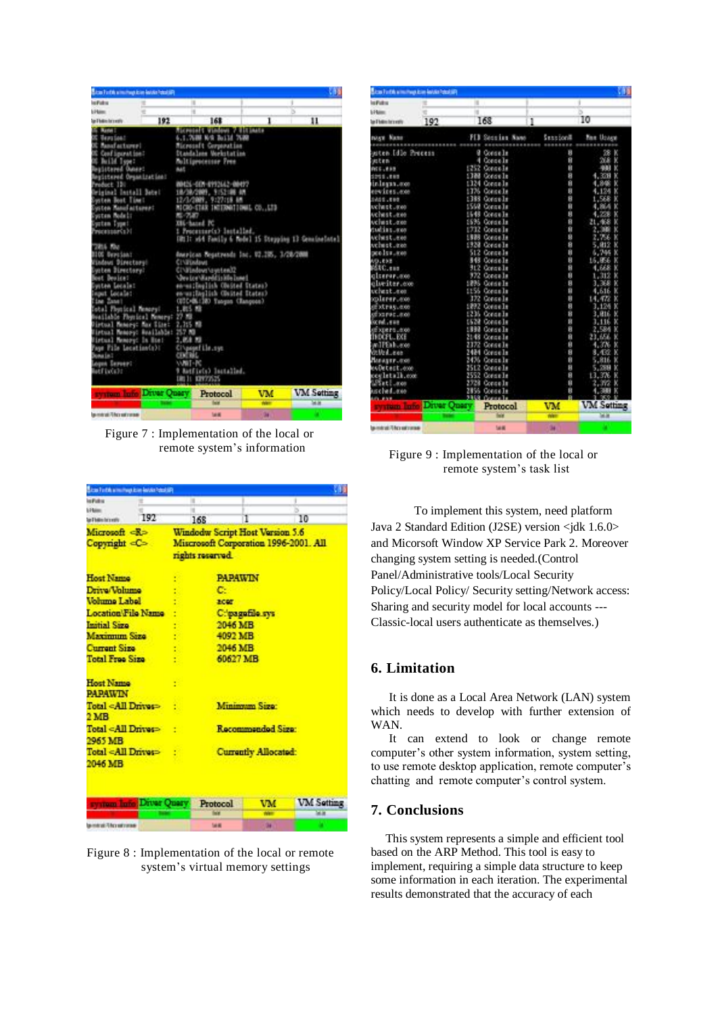| <b>Extent For Eds as must have leaved a fight of each and</b>                                                                                                                                                                                                                                                                                                                                                                                                                                                                                                                                                               |                                                                                                                                   |                                                                                                                                                                                                                                                                                                                                                                                                                                                                                                                                                                                                          |            |                                                      |
|-----------------------------------------------------------------------------------------------------------------------------------------------------------------------------------------------------------------------------------------------------------------------------------------------------------------------------------------------------------------------------------------------------------------------------------------------------------------------------------------------------------------------------------------------------------------------------------------------------------------------------|-----------------------------------------------------------------------------------------------------------------------------------|----------------------------------------------------------------------------------------------------------------------------------------------------------------------------------------------------------------------------------------------------------------------------------------------------------------------------------------------------------------------------------------------------------------------------------------------------------------------------------------------------------------------------------------------------------------------------------------------------------|------------|------------------------------------------------------|
| <b>Inchestor</b>                                                                                                                                                                                                                                                                                                                                                                                                                                                                                                                                                                                                            |                                                                                                                                   | ×                                                                                                                                                                                                                                                                                                                                                                                                                                                                                                                                                                                                        |            |                                                      |
| Literature                                                                                                                                                                                                                                                                                                                                                                                                                                                                                                                                                                                                                  | e                                                                                                                                 | н                                                                                                                                                                                                                                                                                                                                                                                                                                                                                                                                                                                                        | B          |                                                      |
| Top & ballion for a wall to                                                                                                                                                                                                                                                                                                                                                                                                                                                                                                                                                                                                 | 192                                                                                                                               | 168                                                                                                                                                                                                                                                                                                                                                                                                                                                                                                                                                                                                      | 1          | 11                                                   |
| <b>IS Accord</b><br><b>Beauties:</b><br><b>It Read actions!</b><br>Conf Egenet Son?<br><b>N. Build Type:</b><br>builtered Owner:<br>egüstered Organization:<br>webset 130<br>wisinal Install Debel<br>usten Boot Timet<br>ysten Manisaiturer:<br>ysten Model:<br>poten Type!<br>recessor(s) {<br>7815 AM<br>1105 Dersion:<br>Hindows Directory!<br>votem Simutory:<br>et Deslos!<br>witon Localez<br>nput Localet<br>(Ine Zane)<br>otal Physical Removal<br>Histoal Memory: Max Size:<br>Hatual Manaayo Auailahde: 257 MB<br>Hatual Memory: In Host<br>aue File Location(s):<br><b>CALLAGE</b><br>Agos Server:<br>atfix(s): | <b>BAS</b><br>82-7537<br>1, 815 89<br>vailable Phyrical Nemers: 27-78<br>2,315.80<br>2. KA KI<br><b>CIXERIAL</b><br><b>WILL-M</b> | <b>Ricevoid's Vindova 7 Jill Inste</b><br>4.1.7600 N/S 26131 7680<br>Microsoft Corporation<br>Diandalses Morkstatins<br>Multigrocesser Free<br>WH26-001-0992642-00497<br>18/38/2009, 9752108.4M<br>12/3/2009, 9127118.00<br>MICRO-STAR INTERNATIONAL CO., LTD<br><b>XIL-hazed</b> PC<br>1 Processor(s) lestalled.<br>American Regatrends Inc. U2.205, 3/28/2000<br><b>CINEDADAS</b><br>CIValendowsVayotemX2<br>'Jevice' Harddisk0e hotel<br>en-mailmalish Obsited States?<br>en walleplish COnsted Itates)<br>UECHIN:180 Tangun (Ranguen)<br>CI\pagefile.ove<br>9 Batfiels) Installed.<br>DRITT DIVISION |            | THOI: wid Family 6 Model 15 Stepping 13 Geneineintel |
| <b>STATE DETAIL</b>                                                                                                                                                                                                                                                                                                                                                                                                                                                                                                                                                                                                         | Driver Query                                                                                                                      | Protocol                                                                                                                                                                                                                                                                                                                                                                                                                                                                                                                                                                                                 | VM         | <b>VM Setting</b>                                    |
|                                                                                                                                                                                                                                                                                                                                                                                                                                                                                                                                                                                                                             |                                                                                                                                   |                                                                                                                                                                                                                                                                                                                                                                                                                                                                                                                                                                                                          | <b>AGE</b> | 国連                                                   |
| gamerate Thicker and connect                                                                                                                                                                                                                                                                                                                                                                                                                                                                                                                                                                                                |                                                                                                                                   | <b>SHE</b>                                                                                                                                                                                                                                                                                                                                                                                                                                                                                                                                                                                               | м          |                                                      |

Figure 7 : Implementation of the local or remote system's information

| <b>Bitas Findshammings keep lastes Food air</b>             |                      |                                                                                                     |                          |                 |                   |  |
|-------------------------------------------------------------|----------------------|-----------------------------------------------------------------------------------------------------|--------------------------|-----------------|-------------------|--|
| <b>NEW</b>                                                  |                      | и                                                                                                   |                          |                 |                   |  |
| <b>SHaw</b><br>and Indian Incomedia                         | 192                  |                                                                                                     | 168                      | 1               | 10                |  |
| Microsoft <r><br/>Copyright <c></c></r>                     |                      | <b>Windodw Script Host Version 5.6</b><br>Miscrosoft Corporation 1996-2001. All<br>rights reserved. |                          |                 |                   |  |
| <b>Host Name</b>                                            |                      |                                                                                                     |                          | <b>PAPAWIN</b>  |                   |  |
| Drive/Volume                                                |                      |                                                                                                     | c                        |                 |                   |  |
| <b>Jada I amiddl</b>                                        |                      |                                                                                                     | 3007                     |                 |                   |  |
| <b>Location/File Name</b>                                   |                      |                                                                                                     |                          | C:/pagafile.sys |                   |  |
| <b>Initial Size</b>                                         |                      | 2046 MB                                                                                             |                          |                 |                   |  |
| <b>Maximum Size</b>                                         |                      | 4092 MB                                                                                             |                          |                 |                   |  |
| <b>Current Size</b>                                         |                      | 2046 MB                                                                                             |                          |                 |                   |  |
| <b>Total Free Size</b>                                      |                      | 60627 MB                                                                                            |                          |                 |                   |  |
| <b>Host Name</b><br><b>PAPAWIN</b>                          |                      | ÷                                                                                                   |                          |                 |                   |  |
| Total <all drives=""><br/><math>2\,\mathrm{MB}</math></all> |                      |                                                                                                     | <b>Minimum Size:</b>     |                 |                   |  |
| Total <all drives=""><br/>2965 MB</all>                     |                      |                                                                                                     | <b>Recommended Size:</b> |                 |                   |  |
| Total <all drives=""><br/>2046 MB</all>                     |                      | <b>Currently Allocated:</b>                                                                         |                          |                 |                   |  |
|                                                             | man Inno Driver Quer |                                                                                                     | Protocol                 | VM              | <b>VM</b> Setting |  |
|                                                             |                      |                                                                                                     |                          |                 | 画面                |  |
| automat Thirandroman                                        |                      |                                                                                                     | <b>SHE</b>               | 94              |                   |  |

Figure 8 : Implementation of the local or remote system's virtual memory settings

| <b>Bitas Forth a mothers love lester hatel air-</b> |             |                                  |            |                      |
|-----------------------------------------------------|-------------|----------------------------------|------------|----------------------|
| <b>Infinite</b>                                     |             | и                                |            | ۱                    |
| <b>SHaw</b>                                         |             | н                                |            | 8<br>10              |
| land believ between the                             | 192         | 168                              | ī          |                      |
| <b>NASY Name</b>                                    |             | FIB Secrips Name<br><b>BRASH</b> | Sustition# | <b>Man Ussex</b>     |
| mitem Idle Process                                  |             | ø<br>Conselle                    |            | K<br>U               |
| sten                                                |             | Conce In<br>٠                    |            | Ĥ<br>к               |
| PCC. # 89                                           |             | 5252<br>Conce la                 |            | Ĥ<br>ĸ<br>m          |
| 1201.000                                            |             | 1388<br>Gonde Is                 |            | 8<br>Ñ<br>3008       |
| con.erpaini                                         |             | 324<br>Conce Is                  |            | ū<br>K               |
| ervices.com                                         |             | 1776<br>Concelle                 |            | n<br>124             |
| 1401.000                                            |             | 388<br>Conce In                  |            | ø<br>K<br>1.568      |
| ochest.000                                          |             | 1550<br>Conce In                 |            | Ĥ<br>K               |
| Archest.exe                                         |             | 548<br>Congels                   |            | Ň<br>K               |
| vchest.exe                                          |             | 5595<br>Conselle                 |            | B<br>k<br>21.468     |
| dialis.com                                          |             | 712<br>Conce la                  |            | Ĥ<br>$-100$<br>2.    |
| vehest.exe                                          |             | 1928<br>Conselle                 |            | Ň<br>756<br>K<br>z   |
| vehet.ass                                           |             | 1920<br>Concells                 |            | B<br>K<br>5.<br>812  |
|                                                     |             | 512<br>Conce Is                  |            | Ĥ                    |
| seals a rice                                        |             | 848<br>Conselle                  |            | Ĥ<br>K               |
| <b>VD.EXE</b>                                       |             |                                  |            | Ø                    |
| $TC$ , $EB$                                         |             | 912<br>Conce le<br>972           |            | K<br>ū<br>к          |
| clserer.com                                         |             | Conce Is                         |            | 312                  |
| Iveiter.com                                         |             | 1295<br>Conselle                 |            | 9<br>K<br>368<br>3   |
| uchest.com                                          |             | 1156<br>Connells                 |            | n<br>K               |
| colerer.com                                         |             | 172<br>Conce Is                  |            | n<br>ĸ               |
| 30.PHV-0.00                                         |             | 1,892<br>Connells                |            | B<br>ĸ<br>3.126      |
| 103.1412.00                                         |             | 1236<br>Conce In                 |            | 8<br>K<br>.016       |
| kondeue                                             |             | 1528<br>Conselle                 |            | Ň<br>k               |
| Expertision                                         |             | 1337<br>Conselle                 |            | B<br>2.586<br>ĸ      |
| INDÖFL. EXE                                         |             | 2148<br>Conce In                 |            | ñ<br>23,654          |
| mTPEnhumon                                          |             | 1172<br>Conselle                 |            | Ĥ<br>ЗN              |
| the Lees                                            |             | 2484<br>Conselle                 |            | ø<br>N<br>8<br>4Ø    |
| MARANT-000                                          |             | 24%<br>Conce Is                  |            | Ĥ<br>816<br>к        |
| eoDetect.com                                        |             | 25 L<br>2<br>Conce               |            | ø<br>ĸ<br>$-2584$    |
| oceletalk.com                                       |             | 2552<br>Conce                    |            | B<br>13.376          |
| Pieti anos                                          |             | Conce Is                         |            | ū<br>2               |
| seled.<br>$-0.06$                                   |             | 2856<br>Conse                    |            | Ŕ<br>4<br>,381<br>K  |
|                                                     |             | 93<br>Concelle                   |            | 3 969<br>$\mathbf v$ |
|                                                     | Diver Onery | Protocol                         | VM         | <b>VM Setting</b>    |
|                                                     |             |                                  | <b>AGE</b> | 出演                   |
| be mitrat: Thica salt comes                         |             | <b>Selli</b>                     | м          |                      |

Figure 9 : Implementation of the local or remote system's task list

To implement this system, need platform Java 2 Standard Edition (J2SE) version <jdk 1.6.0> and Micorsoft Window XP Service Park 2. Moreover changing system setting is needed.(Control Panel/Administrative tools/Local Security Policy/Local Policy/ Security setting/Network access: Sharing and security model for local accounts --- Classic-local users authenticate as themselves.)

# **6. Limitation**

It is done as a Local Area Network (LAN) system which needs to develop with further extension of WAN.

It can extend to look or change remote computer's other system information, system setting, to use remote desktop application, remote computer's chatting and remote computer's control system.

# **7. Conclusions**

This system represents a simple and efficient tool based on the ARP Method. This tool is easy to implement, requiring a simple data structure to keep some information in each iteration. The experimental results demonstrated that the accuracy of each